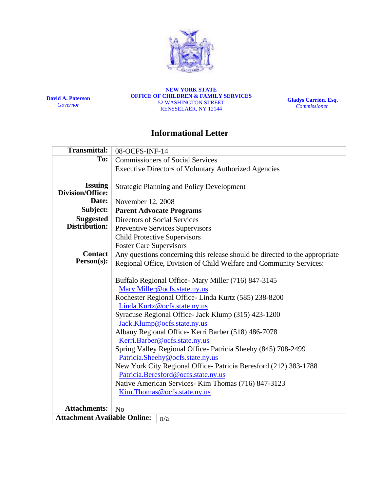

**David A. Paterson**  *Governor*

**NEW YORK STATE OFFICE OF CHILDREN & FAMILY SERVICES**  52 WASHINGTON STREET RENSSELAER, NY 12144

**Gladys Carrión, Esq.**   *Commissioner*

# **Informational Letter**

| <b>Transmittal:</b>                 | 08-OCFS-INF-14                                                              |
|-------------------------------------|-----------------------------------------------------------------------------|
| To:                                 | <b>Commissioners of Social Services</b>                                     |
|                                     | <b>Executive Directors of Voluntary Authorized Agencies</b>                 |
|                                     |                                                                             |
| <b>Issuing</b><br>Division/Office:  | <b>Strategic Planning and Policy Development</b>                            |
| Date:                               | November 12, 2008                                                           |
| Subject:                            | <b>Parent Advocate Programs</b>                                             |
| <b>Suggested</b>                    | Directors of Social Services                                                |
| Distribution:                       | Preventive Services Supervisors                                             |
|                                     | <b>Child Protective Supervisors</b>                                         |
|                                     | <b>Foster Care Supervisors</b>                                              |
| <b>Contact</b>                      | Any questions concerning this release should be directed to the appropriate |
| Person(s):                          | Regional Office, Division of Child Welfare and Community Services:          |
|                                     |                                                                             |
|                                     | Buffalo Regional Office-Mary Miller (716) 847-3145                          |
|                                     | Mary.Miller@ocfs.state.ny.us                                                |
|                                     | Rochester Regional Office-Linda Kurtz (585) 238-8200                        |
|                                     | Linda.Kurtz@ocfs.state.ny.us                                                |
|                                     | Syracuse Regional Office- Jack Klump (315) 423-1200                         |
|                                     | Jack.Klump@ocfs.state.ny.us                                                 |
|                                     | Albany Regional Office- Kerri Barber (518) 486-7078                         |
|                                     | Kerri.Barber@ocfs.state.ny.us                                               |
|                                     | Spring Valley Regional Office- Patricia Sheehy (845) 708-2499               |
|                                     | Patricia.Sheehy@ocfs.state.ny.us                                            |
|                                     | New York City Regional Office- Patricia Beresford (212) 383-1788            |
|                                     | Patricia.Beresford@ocfs.state.ny.us                                         |
|                                     | Native American Services- Kim Thomas (716) 847-3123                         |
|                                     | Kim.Thomas@ocfs.state.ny.us                                                 |
| <b>Attachments:</b>                 | No                                                                          |
| <b>Attachment Available Online:</b> |                                                                             |
| n/a                                 |                                                                             |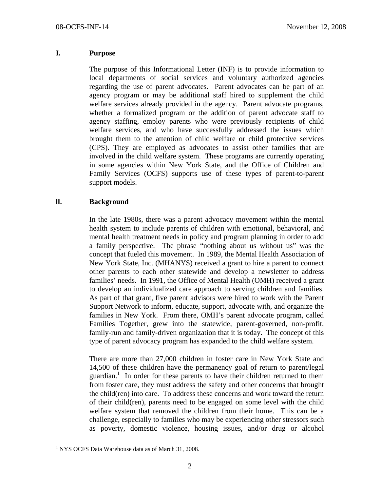#### **I. Purpose**

The purpose of this Informational Letter (INF) is to provide information to local departments of social services and voluntary authorized agencies regarding the use of parent advocates. Parent advocates can be part of an agency program or may be additional staff hired to supplement the child welfare services already provided in the agency. Parent advocate programs, whether a formalized program or the addition of parent advocate staff to agency staffing, employ parents who were previously recipients of child welfare services, and who have successfully addressed the issues which brought them to the attention of child welfare or child protective services (CPS). They are employed as advocates to assist other families that are involved in the child welfare system. These programs are currently operating in some agencies within New York State, and the Office of Children and Family Services (OCFS) supports use of these types of parent-to-parent support models.

## **II. Background**

In the late 1980s, there was a parent advocacy movement within the mental health system to include parents of children with emotional, behavioral, and mental health treatment needs in policy and program planning in order to add a family perspective. The phrase "nothing about us without us" was the concept that fueled this movement. In 1989, the Mental Health Association of New York State, Inc. (MHANYS) received a grant to hire a parent to connect other parents to each other statewide and develop a newsletter to address families' needs. In 1991, the Office of Mental Health (OMH) received a grant to develop an individualized care approach to serving children and families. As part of that grant, five parent advisors were hired to work with the Parent Support Network to inform, educate, support, advocate with, and organize the families in New York. From there, OMH's parent advocate program, called Families Together, grew into the statewide, parent-governed, non-profit, family-run and family-driven organization that it is today. The concept of this type of parent advocacy program has expanded to the child welfare system.

There are more than 27,000 children in foster care in New York State and 14,500 of these children have the permanency goal of return to parent/legal guardian.<sup>1</sup> In order for these parents to have their children returned to them from foster care, they must address the safety and other concerns that brought the child(ren) into care. To address these concerns and work toward the return of their child(ren), parents need to be engaged on some level with the child welfare system that removed the children from their home. This can be a challenge, especially to families who may be experiencing other stressors such as poverty, domestic violence, housing issues, and/or drug or alcohol

 1 NYS OCFS Data Warehouse data as of March 31, 2008.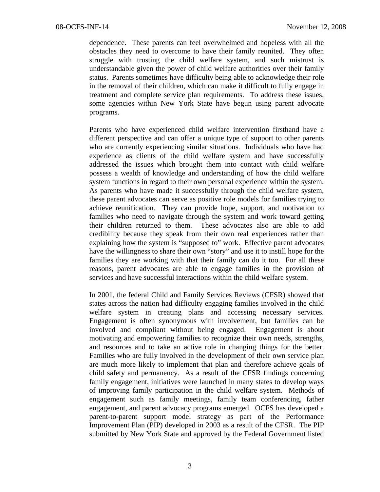dependence. These parents can feel overwhelmed and hopeless with all the obstacles they need to overcome to have their family reunited. They often struggle with trusting the child welfare system, and such mistrust is understandable given the power of child welfare authorities over their family status. Parents sometimes have difficulty being able to acknowledge their role in the removal of their children, which can make it difficult to fully engage in treatment and complete service plan requirements. To address these issues, some agencies within New York State have begun using parent advocate programs.

Parents who have experienced child welfare intervention firsthand have a different perspective and can offer a unique type of support to other parents who are currently experiencing similar situations. Individuals who have had experience as clients of the child welfare system and have successfully addressed the issues which brought them into contact with child welfare possess a wealth of knowledge and understanding of how the child welfare system functions in regard to their own personal experience within the system. As parents who have made it successfully through the child welfare system, these parent advocates can serve as positive role models for families trying to achieve reunification. They can provide hope, support, and motivation to families who need to navigate through the system and work toward getting their children returned to them. These advocates also are able to add credibility because they speak from their own real experiences rather than explaining how the system is "supposed to" work. Effective parent advocates have the willingness to share their own "story" and use it to instill hope for the families they are working with that their family can do it too. For all these reasons, parent advocates are able to engage families in the provision of services and have successful interactions within the child welfare system.

In 2001, the federal Child and Family Services Reviews (CFSR) showed that states across the nation had difficulty engaging families involved in the child welfare system in creating plans and accessing necessary services. Engagement is often synonymous with involvement, but families can be involved and compliant without being engaged. Engagement is about motivating and empowering families to recognize their own needs, strengths, and resources and to take an active role in changing things for the better. Families who are fully involved in the development of their own service plan are much more likely to implement that plan and therefore achieve goals of child safety and permanency. As a result of the CFSR findings concerning family engagement, initiatives were launched in many states to develop ways of improving family participation in the child welfare system. Methods of engagement such as family meetings, family team conferencing, father engagement, and parent advocacy programs emerged. OCFS has developed a parent-to-parent support model strategy as part of the Performance Improvement Plan (PIP) developed in 2003 as a result of the CFSR. The PIP submitted by New York State and approved by the Federal Government listed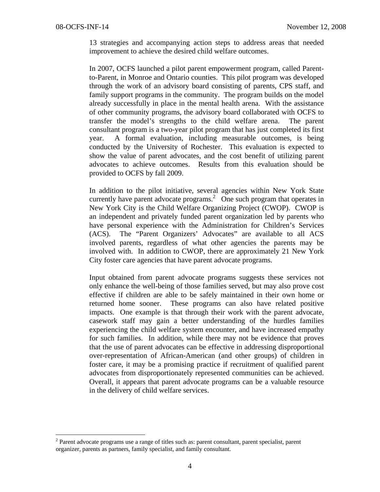1

13 strategies and accompanying action steps to address areas that needed improvement to achieve the desired child welfare outcomes.

In 2007, OCFS launched a pilot parent empowerment program, called Parentto-Parent, in Monroe and Ontario counties. This pilot program was developed through the work of an advisory board consisting of parents, CPS staff, and family support programs in the community. The program builds on the model already successfully in place in the mental health arena. With the assistance of other community programs, the advisory board collaborated with OCFS to transfer the model's strengths to the child welfare arena. The parent consultant program is a two-year pilot program that has just completed its first year. A formal evaluation, including measurable outcomes, is being conducted by the University of Rochester. This evaluation is expected to show the value of parent advocates, and the cost benefit of utilizing parent advocates to achieve outcomes. Results from this evaluation should be provided to OCFS by fall 2009.

In addition to the pilot initiative, several agencies within New York State currently have parent advocate programs.<sup>2</sup> One such program that operates in New York City is the Child Welfare Organizing Project (CWOP). CWOP is an independent and privately funded parent organization led by parents who have personal experience with the Administration for Children's Services (ACS). The "Parent Organizers' Advocates" are available to all ACS involved parents, regardless of what other agencies the parents may be involved with. In addition to CWOP, there are approximately 21 New York City foster care agencies that have parent advocate programs.

Input obtained from parent advocate programs suggests these services not only enhance the well-being of those families served, but may also prove cost effective if children are able to be safely maintained in their own home or returned home sooner. These programs can also have related positive impacts. One example is that through their work with the parent advocate, casework staff may gain a better understanding of the hurdles families experiencing the child welfare system encounter, and have increased empathy for such families. In addition, while there may not be evidence that proves that the use of parent advocates can be effective in addressing disproportional over-representation of African-American (and other groups) of children in foster care, it may be a promising practice if recruitment of qualified parent advocates from disproportionately represented communities can be achieved. Overall, it appears that parent advocate programs can be a valuable resource in the delivery of child welfare services.

<sup>&</sup>lt;sup>2</sup> Parent advocate programs use a range of titles such as: parent consultant, parent specialist, parent organizer, parents as partners, family specialist, and family consultant.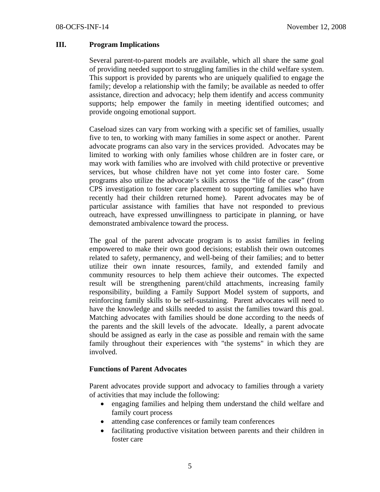### **III. Program Implications**

Several parent-to-parent models are available, which all share the same goal of providing needed support to struggling families in the child welfare system. This support is provided by parents who are uniquely qualified to engage the family; develop a relationship with the family; be available as needed to offer assistance, direction and advocacy; help them identify and access community supports; help empower the family in meeting identified outcomes; and provide ongoing emotional support.

Caseload sizes can vary from working with a specific set of families, usually five to ten, to working with many families in some aspect or another. Parent advocate programs can also vary in the services provided. Advocates may be limited to working with only families whose children are in foster care, or may work with families who are involved with child protective or preventive services, but whose children have not yet come into foster care. Some programs also utilize the advocate's skills across the "life of the case" (from CPS investigation to foster care placement to supporting families who have recently had their children returned home). Parent advocates may be of particular assistance with families that have not responded to previous outreach, have expressed unwillingness to participate in planning, or have demonstrated ambivalence toward the process.

The goal of the parent advocate program is to assist families in feeling empowered to make their own good decisions; establish their own outcomes related to safety, permanency, and well-being of their families; and to better utilize their own innate resources, family, and extended family and community resources to help them achieve their outcomes. The expected result will be strengthening parent/child attachments, increasing family responsibility, building a Family Support Model system of supports, and reinforcing family skills to be self-sustaining. Parent advocates will need to have the knowledge and skills needed to assist the families toward this goal. Matching advocates with families should be done according to the needs of the parents and the skill levels of the advocate. Ideally, a parent advocate should be assigned as early in the case as possible and remain with the same family throughout their experiences with "the systems" in which they are involved.

### **Functions of Parent Advocates**

Parent advocates provide support and advocacy to families through a variety of activities that may include the following:

- engaging families and helping them understand the child welfare and family court process
- attending case conferences or family team conferences
- facilitating productive visitation between parents and their children in foster care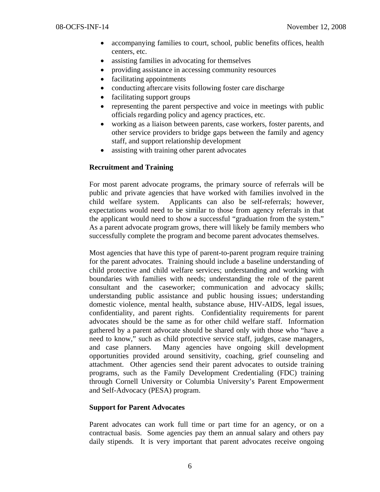- accompanying families to court, school, public benefits offices, health centers, etc.
- assisting families in advocating for themselves
- providing assistance in accessing community resources
- facilitating appointments
- conducting aftercare visits following foster care discharge
- facilitating support groups
- representing the parent perspective and voice in meetings with public officials regarding policy and agency practices, etc.
- working as a liaison between parents, case workers, foster parents, and other service providers to bridge gaps between the family and agency staff, and support relationship development
- assisting with training other parent advocates

### **Recruitment and Training**

For most parent advocate programs, the primary source of referrals will be public and private agencies that have worked with families involved in the child welfare system. Applicants can also be self-referrals; however, expectations would need to be similar to those from agency referrals in that the applicant would need to show a successful "graduation from the system." As a parent advocate program grows, there will likely be family members who successfully complete the program and become parent advocates themselves.

Most agencies that have this type of parent-to-parent program require training for the parent advocates. Training should include a baseline understanding of child protective and child welfare services; understanding and working with boundaries with families with needs; understanding the role of the parent consultant and the caseworker; communication and advocacy skills; understanding public assistance and public housing issues; understanding domestic violence, mental health, substance abuse, HIV-AIDS, legal issues, confidentiality, and parent rights. Confidentiality requirements for parent advocates should be the same as for other child welfare staff. Information gathered by a parent advocate should be shared only with those who "have a need to know," such as child protective service staff, judges, case managers, and case planners. Many agencies have ongoing skill development opportunities provided around sensitivity, coaching, grief counseling and attachment. Other agencies send their parent advocates to outside training programs, such as the Family Development Credentialing (FDC) training through Cornell University or Columbia University's Parent Empowerment and Self-Advocacy (PESA) program.

## **Support for Parent Advocates**

Parent advocates can work full time or part time for an agency, or on a contractual basis. Some agencies pay them an annual salary and others pay daily stipends. It is very important that parent advocates receive ongoing